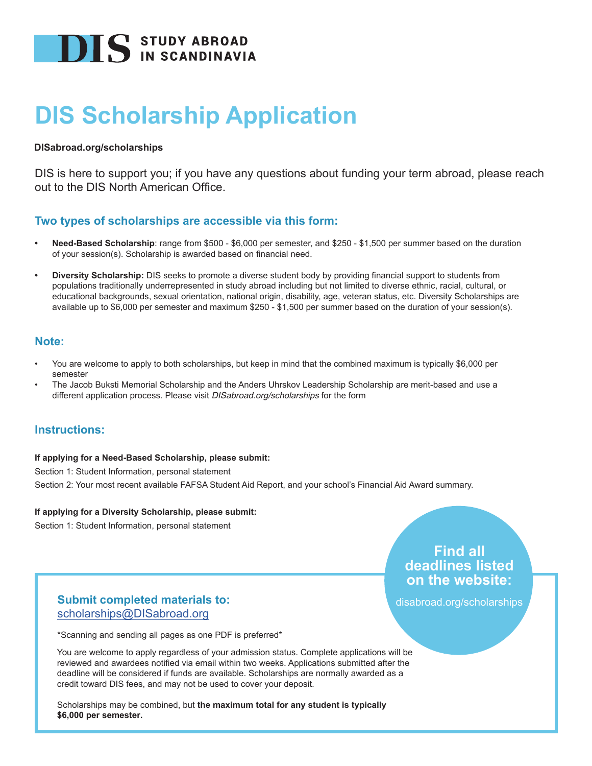# **DIS STUDY ABROAD**

## **DIS Scholarship Application**

#### **[DISabroad.org/scholarships](https://disabroad.org/scholarships)**

DIS is here to support you; if you have any questions about funding your term abroad, please reach out to the DIS North American Office.

#### **Two types of scholarships are accessible via this form:**

- **• Need-Based Scholarship**: range from \$500 \$6,000 per semester, and \$250 \$1,500 per summer based on the duration of your session(s). Scholarship is awarded based on financial need.
- **• Diversity Scholarship:** DIS seeks to promote a diverse student body by providing financial support to students from populations traditionally underrepresented in study abroad including but not limited to diverse ethnic, racial, cultural, or educational backgrounds, sexual orientation, national origin, disability, age, veteran status, etc. Diversity Scholarships are available up to \$6,000 per semester and maximum \$250 - \$1,500 per summer based on the duration of your session(s).

#### **Note:**

- You are welcome to apply to both scholarships, but keep in mind that the combined maximum is typically \$6,000 per semester
- The Jacob Buksti Memorial Scholarship and the Anders Uhrskov Leadership Scholarship are merit-based and use a different application process. Please visit [DISabroad.org/scholarships](https://disabroad.org/scholarships) for the form

#### **Instructions:**

#### **If applying for a Need-Based Scholarship, please submit:**

Section 1: Student Information, personal statement

Section 2: Your most recent available FAFSA Student Aid Report, and your school's Financial Aid Award summary.

#### **If applying for a Diversity Scholarship, please submit:**

Section 1: Student Information, personal statement

### **Find all deadlines listed on the website:**

[disabroad.org/scholarships](https://disabroad.org/scholarships)

### **Submit completed materials to:**  [scholarships@DISabroad.org](mailto:scholarships@disabroad.org)

\*Scanning and sending all pages as one PDF is preferred\*

You are welcome to apply regardless of your admission status. Complete applications will be reviewed and awardees notified via email within two weeks. Applications submitted after the deadline will be considered if funds are available. Scholarships are normally awarded as a credit toward DIS fees, and may not be used to cover your deposit.

Scholarships may be combined, but **the maximum total for any student is typically \$6,000 per semester.**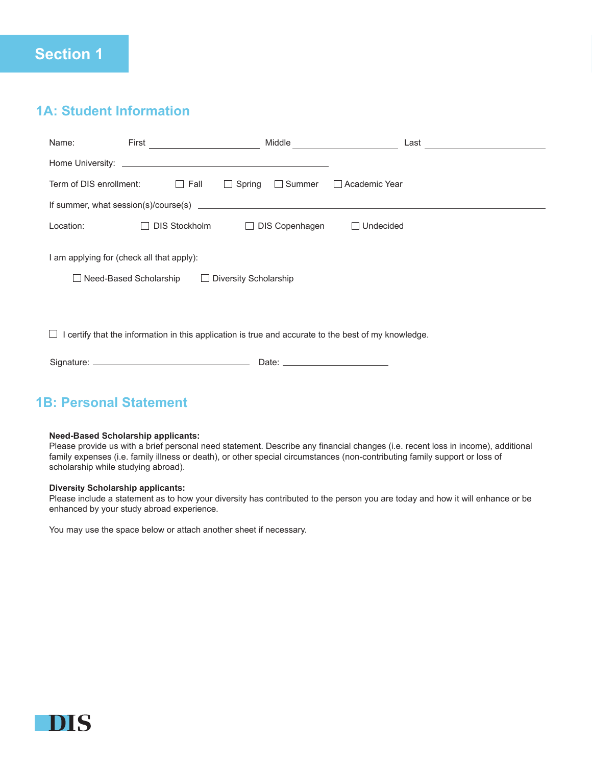### **Section 1**

### **1A: Student Information**

| Name:                                                                                                          | First |                      | Middle           |                | Last            |  |
|----------------------------------------------------------------------------------------------------------------|-------|----------------------|------------------|----------------|-----------------|--|
|                                                                                                                |       |                      |                  |                |                 |  |
| Term of DIS enrollment:                                                                                        |       | $\Box$ Fall          | Spring<br>$\Box$ | $\Box$ Summer  | □ Academic Year |  |
|                                                                                                                |       |                      |                  |                |                 |  |
| Location:                                                                                                      |       | <b>DIS Stockholm</b> |                  | DIS Copenhagen | Undecided       |  |
| I am applying for (check all that apply):                                                                      |       |                      |                  |                |                 |  |
| Need-Based Scholarship<br>$\Box$ Diversity Scholarship                                                         |       |                      |                  |                |                 |  |
|                                                                                                                |       |                      |                  |                |                 |  |
| I certify that the information in this application is true and accurate to the best of my knowledge.<br>$\Box$ |       |                      |                  |                |                 |  |

### **1B: Personal Statement**

#### **Need-Based Scholarship applicants:**

Please provide us with a brief personal need statement. Describe any financial changes (i.e. recent loss in income), additional family expenses (i.e. family illness or death), or other special circumstances (non-contributing family support or loss of scholarship while studying abroad).

#### **Diver**sity **Scholarship applicants:**

Please include a statement as to how your diversity has contributed to the person you are today and how it will enhance or be enhanced by your study abroad experience.

You may use the space below or attach another sheet if necessary.

Signature: Date: